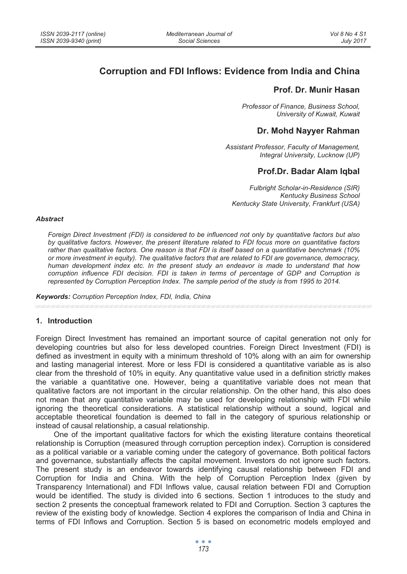# **Corruption and FDI Inflows: Evidence from India and China**

# **Prof. Dr. Munir Hasan**

*Professor of Finance, Business School, University of Kuwait, Kuwait* 

## **Dr. Mohd Nayyer Rahman**

*Assistant Professor, Faculty of Management, Integral University, Lucknow (UP)* 

# **Prof.Dr. Badar Alam Iqbal**

*Fulbright Scholar-in-Residence (SIR) Kentucky Business School Kentucky State University, Frankfurt (USA)* 

#### *Abstract*

*Foreign Direct Investment (FDI) is considered to be influenced not only by quantitative factors but also by qualitative factors. However, the present literature related to FDI focus more on quantitative factors rather than qualitative factors. One reason is that FDI is itself based on a quantitative benchmark (10% or more investment in equity). The qualitative factors that are related to FDI are governance, democracy, human development index etc. In the present study an endeavor is made to understand that how corruption influence FDI decision. FDI is taken in terms of percentage of GDP and Corruption is represented by Corruption Perception Index. The sample period of the study is from 1995 to 2014.* 

*Keywords: Corruption Perception Index, FDI, India, China* 

#### **1. Introduction**

Foreign Direct Investment has remained an important source of capital generation not only for developing countries but also for less developed countries. Foreign Direct Investment (FDI) is defined as investment in equity with a minimum threshold of 10% along with an aim for ownership and lasting managerial interest. More or less FDI is considered a quantitative variable as is also clear from the threshold of 10% in equity. Any quantitative value used in a definition strictly makes the variable a quantitative one. However, being a quantitative variable does not mean that qualitative factors are not important in the circular relationship. On the other hand, this also does not mean that any quantitative variable may be used for developing relationship with FDI while ignoring the theoretical considerations. A statistical relationship without a sound, logical and acceptable theoretical foundation is deemed to fall in the category of spurious relationship or instead of causal relationship, a casual relationship.

One of the important qualitative factors for which the existing literature contains theoretical relationship is Corruption (measured through corruption perception index). Corruption is considered as a political variable or a variable coming under the category of governance. Both political factors and governance, substantially affects the capital movement. Investors do not ignore such factors. The present study is an endeavor towards identifying causal relationship between FDI and Corruption for India and China. With the help of Corruption Perception Index (given by Transparency International) and FDI Inflows value, causal relation between FDI and Corruption would be identified. The study is divided into 6 sections. Section 1 introduces to the study and section 2 presents the conceptual framework related to FDI and Corruption. Section 3 captures the review of the existing body of knowledge. Section 4 explores the comparison of India and China in terms of FDI Inflows and Corruption. Section 5 is based on econometric models employed and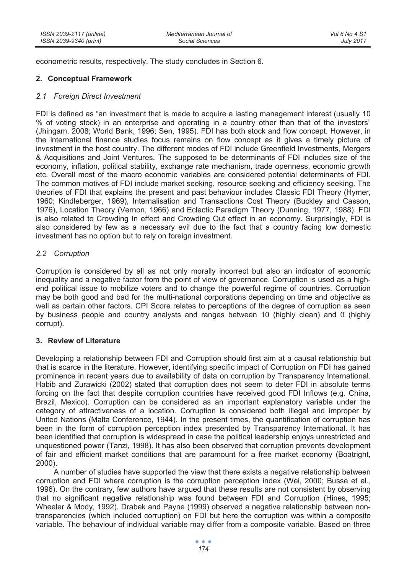econometric results, respectively. The study concludes in Section 6.

### **2. Conceptual Framework**

### *2.1 Foreign Direct Investment*

FDI is defined as "an investment that is made to acquire a lasting management interest (usually 10 % of voting stock) in an enterprise and operating in a country other than that of the investors" (Jhingam, 2008; World Bank, 1996; Sen, 1995). FDI has both stock and flow concept. However, in the international finance studies focus remains on flow concept as it gives a timely picture of investment in the host country. The different modes of FDI include Greenfield Investments, Mergers & Acquisitions and Joint Ventures. The supposed to be determinants of FDI includes size of the economy, inflation, political stability, exchange rate mechanism, trade openness, economic growth etc. Overall most of the macro economic variables are considered potential determinants of FDI. The common motives of FDI include market seeking, resource seeking and efficiency seeking. The theories of FDI that explains the present and past behaviour includes Classic FDI Theory (Hymer, 1960; Kindleberger, 1969), Internalisation and Transactions Cost Theory (Buckley and Casson, 1976), Location Theory (Vernon, 1966) and Eclectic Paradigm Theory (Dunning, 1977, 1988). FDI is also related to Crowding In effect and Crowding Out effect in an economy. Surprisingly, FDI is also considered by few as a necessary evil due to the fact that a country facing low domestic investment has no option but to rely on foreign investment.

### *2.2 Corruption*

Corruption is considered by all as not only morally incorrect but also an indicator of economic inequality and a negative factor from the point of view of governance. Corruption is used as a highend political issue to mobilize voters and to change the powerful regime of countries. Corruption may be both good and bad for the multi-national corporations depending on time and objective as well as certain other factors. CPI Score relates to perceptions of the degree of corruption as seen by business people and country analysts and ranges between 10 (highly clean) and 0 (highly corrupt).

### **3. Review of Literature**

Developing a relationship between FDI and Corruption should first aim at a causal relationship but that is scarce in the literature. However, identifying specific impact of Corruption on FDI has gained prominence in recent years due to availability of data on corruption by Transparency International. Habib and Zurawicki (2002) stated that corruption does not seem to deter FDI in absolute terms forcing on the fact that despite corruption countries have received good FDI Inflows (e.g. China, Brazil, Mexico). Corruption can be considered as an important explanatory variable under the category of attractiveness of a location. Corruption is considered both illegal and improper by United Nations (Malta Conference, 1944). In the present times, the quantification of corruption has been in the form of corruption perception index presented by Transparency International. It has been identified that corruption is widespread in case the political leadership enjoys unrestricted and unquestioned power (Tanzi, 1998). It has also been observed that corruption prevents development of fair and efficient market conditions that are paramount for a free market economy (Boatright, 2000).

A number of studies have supported the view that there exists a negative relationship between corruption and FDI where corruption is the corruption perception index (Wei, 2000; Busse et al., 1996). On the contrary, few authors have argued that these results are not consistent by observing that no significant negative relationship was found between FDI and Corruption (Hines, 1995; Wheeler & Mody, 1992). Drabek and Payne (1999) observed a negative relationship between nontransparencies (which included corruption) on FDI but here the corruption was within a composite variable. The behaviour of individual variable may differ from a composite variable. Based on three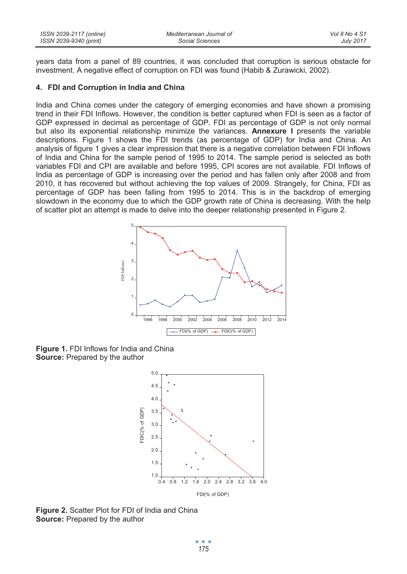| ISSN 2039-2117 (online) | Mediterranean Journal of | Vol 8 No 4 S1    |
|-------------------------|--------------------------|------------------|
| ISSN 2039-9340 (print)  | Social Sciences          | <b>July 2017</b> |

years data from a panel of 89 countries, it was concluded that corruption is serious obstacle for investment. A negative effect of corruption on FDI was found (Habib & Zurawicki, 2002).

#### **4. FDI and Corruption in India and China**

India and China comes under the category of emerging economies and have shown a promising trend in their FDI Inflows. However, the condition is better captured when FDI is seen as a factor of GDP expressed in decimal as percentage of GDP. FDI as percentage of GDP is not only normal but also its exponential relationship minimize the variances. **Annexure I** presents the variable descriptions. Figure 1 shows the FDI trends (as percentage of GDP) for India and China. An analysis of figure 1 gives a clear impression that there is a negative correlation between FDI Inflows of India and China for the sample period of 1995 to 2014. The sample period is selected as both variables FDI and CPI are available and before 1995, CPI scores are not available. FDI Inflows of India as percentage of GDP is increasing over the period and has fallen only after 2008 and from 2010, it has recovered but without achieving the top values of 2009. Strangely, for China, FDI as percentage of GDP has been falling from 1995 to 2014. This is in the backdrop of emerging slowdown in the economy due to which the GDP growth rate of China is decreasing. With the help of scatter plot an attempt is made to delve into the deeper relationship presented in Figure 2.



**Figure 1.** FDI Inflows for India and China **Source:** Prepared by the author



**Figure 2.** Scatter Plot for FDI of India and China **Source:** Prepared by the author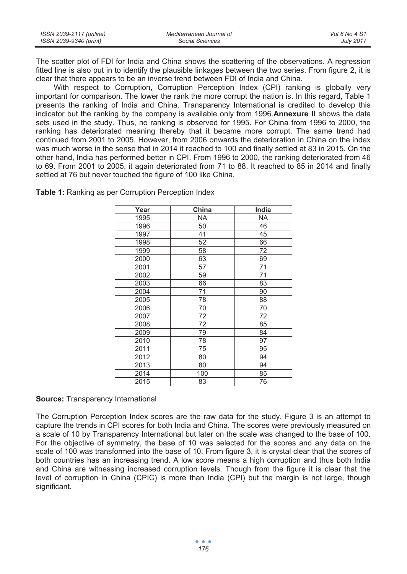| ISSN 2039-2117 (online) | Mediterranean Journal of | Vol 8 No 4 S1    |
|-------------------------|--------------------------|------------------|
| ISSN 2039-9340 (print)  | Social Sciences          | <b>July 2017</b> |

The scatter plot of FDI for India and China shows the scattering of the observations. A regression fitted line is also put in to identify the plausible linkages between the two series. From figure 2, it is clear that there appears to be an inverse trend between FDI of India and China.

With respect to Corruption, Corruption Perception Index (CPI) ranking is globally very important for comparison. The lower the rank the more corrupt the nation is. In this regard, Table 1 presents the ranking of India and China. Transparency International is credited to develop this indicator but the ranking by the company is available only from 1996.**Annexure II** shows the data sets used in the study. Thus, no ranking is observed for 1995. For China from 1996 to 2000, the ranking has deteriorated meaning thereby that it became more corrupt. The same trend had continued from 2001 to 2005. However, from 2006 onwards the deterioration in China on the index was much worse in the sense that in 2014 it reached to 100 and finally settled at 83 in 2015. On the other hand, India has performed better in CPI. From 1996 to 2000, the ranking deteriorated from 46 to 69. From 2001 to 2005, it again deteriorated from 71 to 88. It reached to 85 in 2014 and finally settled at 76 but never touched the figure of 100 like China.

| Year | China     | India     |
|------|-----------|-----------|
| 1995 | <b>NA</b> | <b>NA</b> |
| 1996 | 50        | 46        |
| 1997 | 41        | 45        |
| 1998 | 52        | 66        |
| 1999 | 58        | 72        |
| 2000 | 63        | 69        |
| 2001 | 57        | 71        |
| 2002 | 59        | 71        |
| 2003 | 66        | 83        |
| 2004 | 71        | 90        |
| 2005 | 78        | 88        |
| 2006 | 70        | 70        |
| 2007 | 72        | 72        |
| 2008 | 72        | 85        |
| 2009 | 79        | 84        |
| 2010 | 78        | 97        |
| 2011 | 75        | 95        |
| 2012 | 80        | 94        |
| 2013 | 80        | 94        |
| 2014 | 100       | 85        |
| 2015 | 83        | 76        |

**Table 1:** Ranking as per Corruption Perception Index

**Source:** Transparency International

The Corruption Perception Index scores are the raw data for the study. Figure 3 is an attempt to capture the trends in CPI scores for both India and China. The scores were previously measured on a scale of 10 by Transparency International but later on the scale was changed to the base of 100. For the objective of symmetry, the base of 10 was selected for the scores and any data on the scale of 100 was transformed into the base of 10. From figure 3, it is crystal clear that the scores of both countries has an increasing trend. A low score means a high corruption and thus both India and China are witnessing increased corruption levels. Though from the figure it is clear that the level of corruption in China (CPIC) is more than India (CPI) but the margin is not large, though significant.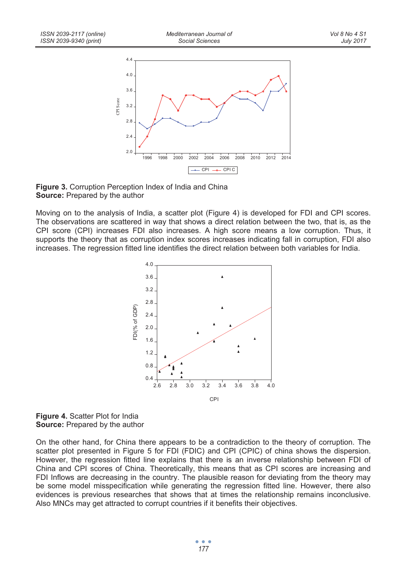

**Figure 3.** Corruption Perception Index of India and China **Source:** Prepared by the author

Moving on to the analysis of India, a scatter plot (Figure 4) is developed for FDI and CPI scores. The observations are scattered in way that shows a direct relation between the two, that is, as the CPI score (CPI) increases FDI also increases. A high score means a low corruption. Thus, it supports the theory that as corruption index scores increases indicating fall in corruption, FDI also increases. The regression fitted line identifies the direct relation between both variables for India.



**Figure 4.** Scatter Plot for India **Source:** Prepared by the author

On the other hand, for China there appears to be a contradiction to the theory of corruption. The scatter plot presented in Figure 5 for FDI (FDIC) and CPI (CPIC) of china shows the dispersion. However, the regression fitted line explains that there is an inverse relationship between FDI of China and CPI scores of China. Theoretically, this means that as CPI scores are increasing and FDI Inflows are decreasing in the country. The plausible reason for deviating from the theory may be some model misspecification while generating the regression fitted line. However, there also evidences is previous researches that shows that at times the relationship remains inconclusive. Also MNCs may get attracted to corrupt countries if it benefits their objectives.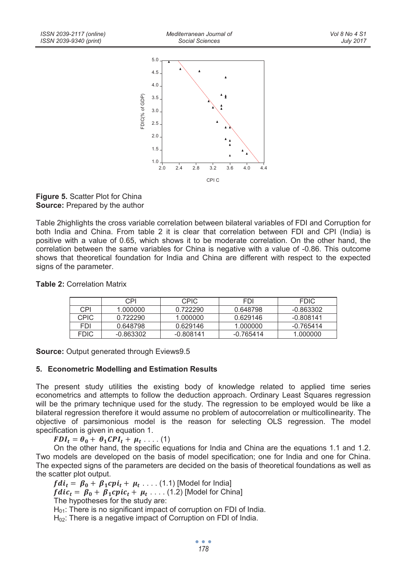

**Figure 5.** Scatter Plot for China **Source:** Prepared by the author

Table 2highlights the cross variable correlation between bilateral variables of FDI and Corruption for both India and China. From table 2 it is clear that correlation between FDI and CPI (India) is positive with a value of 0.65, which shows it to be moderate correlation. On the other hand, the correlation between the same variables for China is negative with a value of -0.86. This outcome shows that theoretical foundation for India and China are different with respect to the expected signs of the parameter.

|             | CPI         | <b>CPIC</b> | <b>FDI</b>  | <b>FDIC</b> |
|-------------|-------------|-------------|-------------|-------------|
| CPI         | 1.000000    | 0.722290    | 0.648798    | $-0.863302$ |
| <b>CPIC</b> | 0.722290    | 1.000000    | 0.629146    | $-0.808141$ |
| <b>FDI</b>  | 0.648798    | 0.629146    | 1.000000    | -0.765414   |
| <b>FDIC</b> | $-0.863302$ | $-0.808141$ | $-0.765414$ | 1.000000    |

**Table 2:** Correlation Matrix

**Source:** Output generated through Eviews9.5

### **5. Econometric Modelling and Estimation Results**

The present study utilities the existing body of knowledge related to applied time series econometrics and attempts to follow the deduction approach. Ordinary Least Squares regression will be the primary technique used for the study. The regression to be employed would be like a bilateral regression therefore it would assume no problem of autocorrelation or multicollinearity. The objective of parsimonious model is the reason for selecting OLS regression. The model specification is given in equation 1.

 $FDI_t = \theta_0 + \theta_1 CPI_t + \mu_t \dots (1)$ 

On the other hand, the specific equations for India and China are the equations 1.1 and 1.2. Two models are developed on the basis of model specification; one for India and one for China. The expected signs of the parameters are decided on the basis of theoretical foundations as well as the scatter plot output.

 $fdi_t = \beta_0 + \beta_1 cpi_t + \mu_t \ldots$  (1.1) [Model for India]  $fdic_t = \beta_0 + \beta_1 cpic_t + \mu_t \ldots$  (1.2) [Model for China] The hypotheses for the study are: H<sub>01</sub>: There is no significant impact of corruption on FDI of India. H<sub>02</sub>: There is a negative impact of Corruption on FDI of India.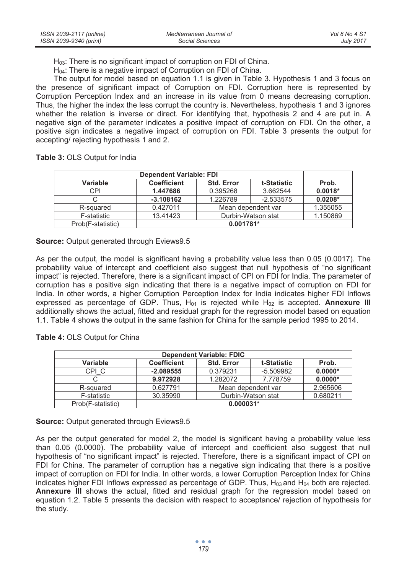H<sub>03</sub>: There is no significant impact of corruption on FDI of China.

H<sub>04</sub>: There is a negative impact of Corruption on FDI of China.

The output for model based on equation 1.1 is given in Table 3. Hypothesis 1 and 3 focus on the presence of significant impact of Corruption on FDI. Corruption here is represented by Corruption Perception Index and an increase in its value from 0 means decreasing corruption. Thus, the higher the index the less corrupt the country is. Nevertheless, hypothesis 1 and 3 ignores whether the relation is inverse or direct. For identifying that, hypothesis 2 and 4 are put in. A negative sign of the parameter indicates a positive impact of corruption on FDI. On the other, a positive sign indicates a negative impact of corruption on FDI. Table 3 presents the output for accepting/ rejecting hypothesis 1 and 2.

**Table 3:** OLS Output for India

| Variable          | <b>Coefficient</b><br><b>Std. Error</b><br>t-Statistic |                    |             |           |  |
|-------------------|--------------------------------------------------------|--------------------|-------------|-----------|--|
| CPI               | 1.447686                                               | 0.395268           | 3.662544    | $0.0018*$ |  |
| С                 | $-3.108162$                                            | 1.226789           | $-2.533575$ | $0.0208*$ |  |
| R-squared         | 0.427011                                               | Mean dependent var |             |           |  |
| F-statistic       | 13.41423<br>Durbin-Watson stat                         |                    |             | 1.150869  |  |
| Prob(F-statistic) | $0.001781*$                                            |                    |             |           |  |

**Source:** Output generated through Eviews9.5

As per the output, the model is significant having a probability value less than 0.05 (0.0017). The probability value of intercept and coefficient also suggest that null hypothesis of "no significant impact" is rejected. Therefore, there is a significant impact of CPI on FDI for India. The parameter of corruption has a positive sign indicating that there is a negative impact of corruption on FDI for India. In other words, a higher Corruption Perception Index for India indicates higher FDI Inflows expressed as percentage of GDP. Thus, H<sub>01</sub> is rejected while H<sub>02</sub> is accepted. **Annexure III** additionally shows the actual, fitted and residual graph for the regression model based on equation 1.1. Table 4 shows the output in the same fashion for China for the sample period 1995 to 2014.

**Table 4:** OLS Output for China

| <b>Dependent Variable: FDIC</b> |                    |                                  |             |           |  |  |
|---------------------------------|--------------------|----------------------------------|-------------|-----------|--|--|
| Variable                        | <b>Coefficient</b> | <b>Std. Error</b><br>t-Statistic |             |           |  |  |
| CPI C                           | $-2.089555$        | 0.379231                         | $-5.509982$ | $0.0000*$ |  |  |
|                                 | 9.972928           | 1.282072                         | 7.778759    | $0.0000*$ |  |  |
| R-squared                       | 0.627791           | Mean dependent var               |             | 2.965606  |  |  |
| F-statistic                     | 30.35990           | 0.680211<br>Durbin-Watson stat   |             |           |  |  |
| Prob(F-statistic)               | $0.000031*$        |                                  |             |           |  |  |

**Source:** Output generated through Eviews9.5

As per the output generated for model 2, the model is significant having a probability value less than 0.05 (0.0000). The probability value of intercept and coefficient also suggest that null hypothesis of "no significant impact" is rejected. Therefore, there is a significant impact of CPI on FDI for China. The parameter of corruption has a negative sign indicating that there is a positive impact of corruption on FDI for India. In other words, a lower Corruption Perception Index for China indicates higher FDI Inflows expressed as percentage of GDP. Thus,  $H_{03}$  and  $H_{04}$  both are rejected. **Annexure III** shows the actual, fitted and residual graph for the regression model based on equation 1.2. Table 5 presents the decision with respect to acceptance/ rejection of hypothesis for the study.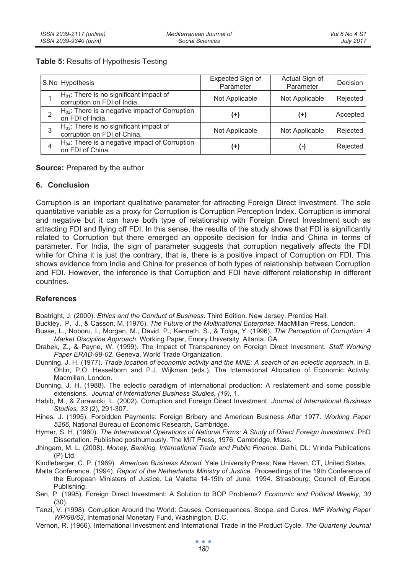### **Table 5:** Results of Hypothesis Testing

|   | S.No Hypothesis                                                             | Expected Sign of<br>Parameter | Actual Sign of<br>Parameter | Decision |
|---|-----------------------------------------------------------------------------|-------------------------------|-----------------------------|----------|
|   | $H01$ : There is no significant impact of<br>corruption on FDI of India.    | Not Applicable                | Not Applicable              | Rejected |
| 2 | $H_{02}$ : There is a negative impact of Corruption<br>on FDI of India.     | (+)                           | (+)                         | Accepted |
| 3 | $H_{03}$ : There is no significant impact of<br>corruption on FDI of China. | Not Applicable                | Not Applicable              | Rejected |
| 4 | $H04$ : There is a negative impact of Corruption<br>on FDI of China.        | (+)                           | (-)                         | Rejected |

**Source:** Prepared by the author

### **6. Conclusion**

Corruption is an important qualitative parameter for attracting Foreign Direct Investment. The sole quantitative variable as a proxy for Corruption is Corruption Perception Index. Corruption is immoral and negative but it can have both type of relationship with Foreign Direct Investment such as attracting FDI and flying off FDI. In this sense, the results of the study shows that FDI is significantly related to Corruption but there emerged an opposite decision for India and China in terms of parameter. For India, the sign of parameter suggests that corruption negatively affects the FDI while for China it is just the contrary, that is, there is a positive impact of Corruption on FDI. This shows evidence from India and China for presence of both types of relationship between Corruption and FDI. However, the inference is that Corruption and FDI have different relationship in different countries.

### **References**

Boatright, J. (2000). *Ethics and the Conduct of Business.* Third Edition. New Jersey: Prentice Hall.

- Buckley, P. J., & Casson, M. (1976). *The Future of the Multinational Enterprise.* MacMillan Press, London.
- Busse, L., Noboru, I., Morgan, M., David, P., Kenneth, S., & Tolga, Y. (1996). *The Perception of Corruption: A Market Discipline Approach.* Working Paper, Emory University, Atlanta, GA.
- Drabek, Z., & Payne, W. (1999). The Impact of Transparency on Foreign Direct Investment. *Staff Working Paper ERAD-99-02*, Geneva, World Trade Organization.
- Dunning, J. H. (1977). *Trade location of economic activity and the MNE: A search of an eclectic approach*, in B. Ohlin, P.O. Hesselborn and P.J. Wijkman (eds.), The International Allocation of Economic Activity. Macmillan, London.
- Dunning, J. H. (1988). The eclectic paradigm of international production: A restatement and some possible extensions. *Journal of International Business Studies, (19)*, 1.
- Habib, M., & Zurawicki, L. (2002). Corruption and Foreign Direct Investment. *Journal of International Business Studies, 33* (2), 291-307.
- Hines, J. (1995). Forbidden Payments: Foreign Bribery and American Business After 1977. *Working Paper 5266,* National Bureau of Economic Research, Cambridge.
- Hymer, S. H. (1960). *The International Operations of National Firms: A Study of Direct Foreign Investment.* PhD Dissertation. Published posthumously. The MIT Press, 1976. Cambridge, Mass.
- Jhingam, M. L. (2008). *Money, Banking, International Trade and Public Finance.* Delhi, DL: Vrinda Publications (P) Ltd.
- Kindleberger, C. P. (1969). *American Business Abroad.* Yale University Press, New Haven, CT, United States.
- Malta Conference. (1994). *Report of the Netherlands Ministry of Justice.* Proceedings of the 19th Conference of the European Ministers of Justice. La Valetta 14-15th of June, 1994. Strasbourg: Council of Europe Publishing.
- Sen, P. (1995). Foreign Direct Investment: A Solution to BOP Problems? *Economic and Political Weekly, 30* (30).
- Tanzi, V. (1998). Corruption Around the World: Causes, Consequences, Scope, and Cures. *IMF Working Paper WP/98/63*, International Monetary Fund, Washington, D.C.
- Vernon, R. (1966). International Investment and International Trade in the Product Cycle. *The Quarterly Journal*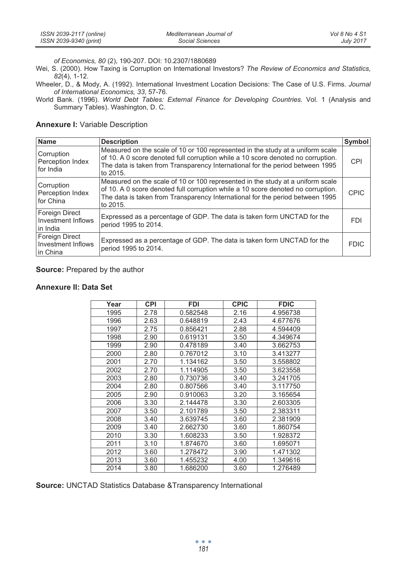| ISSN 2039-2117 (online) | Mediterranean Journal of | Vol 8 No 4 S1 |
|-------------------------|--------------------------|---------------|
| ISSN 2039-9340 (print)  | Social Sciences          | July 2017     |

*of Economics, 80* (2), 190-207. DOI: 10.2307/1880689

Wei, S. (2000). How Taxing is Corruption on International Investors? *The Review of Economics and Statistics, 82*(4), 1-12.

Wheeler, D., & Mody, A. (1992). International Investment Location Decisions: The Case of U.S. Firms. *Journal of International Economics, 33*, 57-76.

World Bank. (1996). *World Debt Tables: External Finance for Developing Countries.* Vol. 1 (Analysis and Summary Tables). Washington, D. C.

#### **Annexure I:** Variable Description

| <b>Name</b>                                      | <b>Description</b>                                                                                                                                                                                                                                              | Symbol      |
|--------------------------------------------------|-----------------------------------------------------------------------------------------------------------------------------------------------------------------------------------------------------------------------------------------------------------------|-------------|
| Corruption<br>Perception Index<br>for India      | Measured on the scale of 10 or 100 represented in the study at a uniform scale<br>of 10. A 0 score denoted full corruption while a 10 score denoted no corruption.<br>The data is taken from Transparency International for the period between 1995<br>to 2015. | <b>CPI</b>  |
| Corruption<br>Perception Index<br>for China      | Measured on the scale of 10 or 100 represented in the study at a uniform scale<br>of 10. A 0 score denoted full corruption while a 10 score denoted no corruption.<br>The data is taken from Transparency International for the period between 1995<br>to 2015. | <b>CPIC</b> |
| Foreign Direct<br>Investment Inflows<br>in India | Expressed as a percentage of GDP. The data is taken form UNCTAD for the<br>period 1995 to 2014.                                                                                                                                                                 | <b>FDI</b>  |
| Foreign Direct<br>Investment Inflows<br>In China | Expressed as a percentage of GDP. The data is taken form UNCTAD for the<br>period 1995 to 2014.                                                                                                                                                                 | <b>FDIC</b> |

#### **Source:** Prepared by the author

#### **Annexure II: Data Set**

| Year | <b>CPI</b> | <b>FDI</b> | <b>CPIC</b> | <b>FDIC</b> |
|------|------------|------------|-------------|-------------|
| 1995 | 2.78       | 0.582548   | 2.16        | 4.956738    |
| 1996 | 2.63       | 0.648819   | 2.43        | 4.677676    |
| 1997 | 2.75       | 0.856421   | 2.88        | 4.594409    |
| 1998 | 2.90       | 0.619131   | 3.50        | 4.349674    |
| 1999 | 2.90       | 0.478189   | 3.40        | 3.662753    |
| 2000 | 2.80       | 0.767012   | 3.10        | 3.413277    |
| 2001 | 2.70       | 1.134162   | 3.50        | 3.558802    |
| 2002 | 2.70       | 1.114905   | 3.50        | 3.623558    |
| 2003 | 2.80       | 0.730736   | 3.40        | 3.241705    |
| 2004 | 2.80       | 0.807566   | 3.40        | 3.117750    |
| 2005 | 2.90       | 0.910063   | 3.20        | 3.165654    |
| 2006 | 3.30       | 2.144478   | 3.30        | 2.603305    |
| 2007 | 3.50       | 2.101789   | 3.50        | 2.383311    |
| 2008 | 3.40       | 3.639745   | 3.60        | 2.381909    |
| 2009 | 3.40       | 2.662730   | 3.60        | 1.860754    |
| 2010 | 3.30       | 1.608233   | 3.50        | 1.928372    |
| 2011 | 3.10       | 1.874670   | 3.60        | 1.695071    |
| 2012 | 3.60       | 1.278472   | 3.90        | 1.471302    |
| 2013 | 3.60       | 1.455232   | 4.00        | 1.349616    |
| 2014 | 3.80       | 1.686200   | 3.60        | 1.276489    |

**Source:** UNCTAD Statistics Database &Transparency International

 $\bullet$   $\bullet$   $\bullet$ *181*